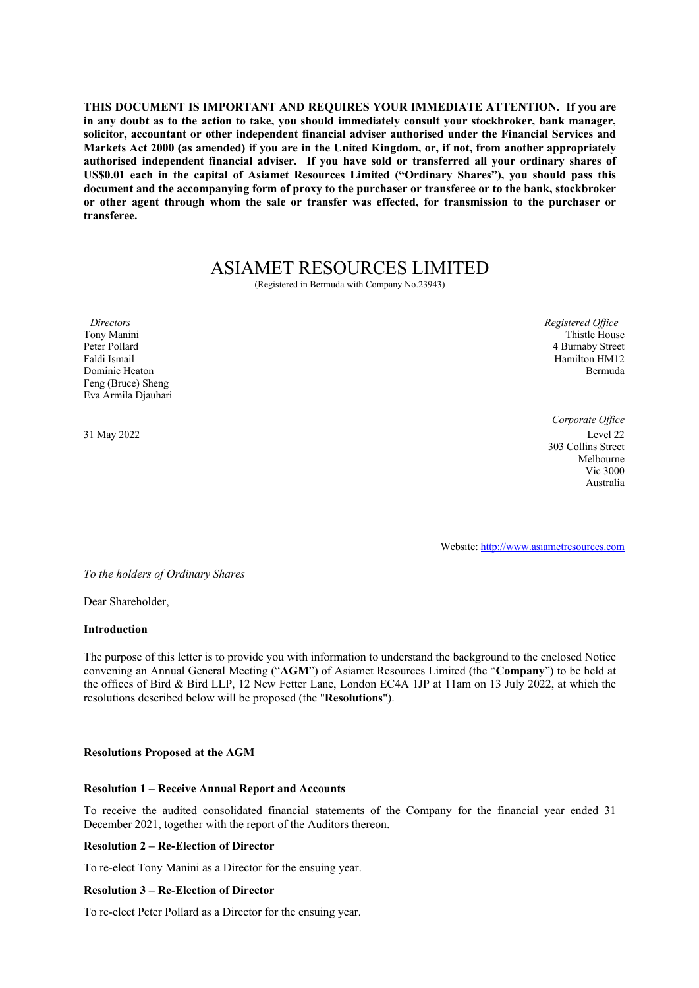**THIS DOCUMENT IS IMPORTANT AND REQUIRES YOUR IMMEDIATE ATTENTION. If you are in any doubt as to the action to take, you should immediately consult your stockbroker, bank manager, solicitor, accountant or other independent financial adviser authorised under the Financial Services and Markets Act 2000 (as amended) if you are in the United Kingdom, or, if not, from another appropriately authorised independent financial adviser. If you have sold or transferred all your ordinary shares of US\$0.01 each in the capital of Asiamet Resources Limited ("Ordinary Shares"), you should pass this document and the accompanying form of proxy to the purchaser or transferee or to the bank, stockbroker or other agent through whom the sale or transfer was effected, for transmission to the purchaser or transferee.**

# ASIAMET RESOURCES LIMITED

(Registered in Bermuda with Company No.23943)

*Directors Registered Office* Tony Manini Peter Pollard Faldi Ismail Dominic Heaton Feng (Bruce) Sheng Eva Armila Djauhari

Thistle House 4 Burnaby Street Hamilton HM12 Bermuda

*Corporate Office* 31 May 2022 Level 22 303 Collins Street Melbourne Vic 3000 Australia

Website: http://www.asiametresources.com

*To the holders of Ordinary Shares*

Dear Shareholder,

# **Introduction**

The purpose of this letter is to provide you with information to understand the background to the enclosed Notice convening an Annual General Meeting ("**AGM**") of Asiamet Resources Limited (the "**Company**") to be held at the offices of Bird & Bird LLP, 12 New Fetter Lane, London EC4A 1JP at 11am on 13 July 2022, at which the resolutions described below will be proposed (the "**Resolutions**").

# **Resolutions Proposed at the AGM**

# **Resolution 1 – Receive Annual Report and Accounts**

To receive the audited consolidated financial statements of the Company for the financial year ended 31 December 2021, together with the report of the Auditors thereon.

# **Resolution 2 – Re-Election of Director**

To re-elect Tony Manini as a Director for the ensuing year.

# **Resolution 3 – Re-Election of Director**

To re-elect Peter Pollard as a Director for the ensuing year.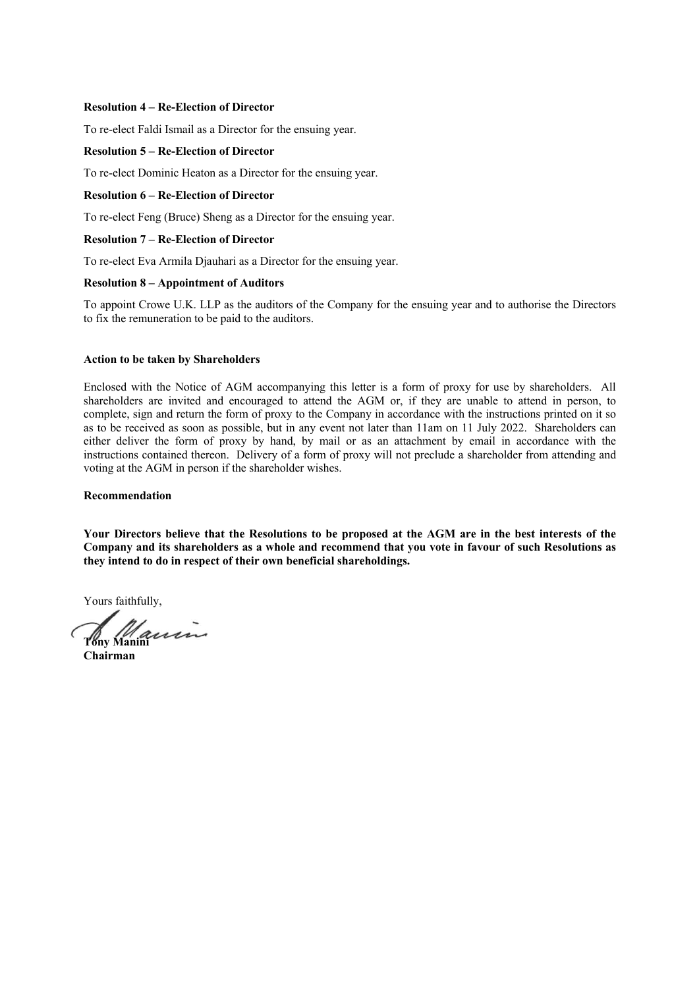#### **Resolution 4 – Re-Election of Director**

To re-elect Faldi Ismail as a Director for the ensuing year.

#### **Resolution 5 – Re-Election of Director**

To re-elect Dominic Heaton as a Director for the ensuing year.

### **Resolution 6 – Re-Election of Director**

To re-elect Feng (Bruce) Sheng as a Director for the ensuing year.

# **Resolution 7 – Re-Election of Director**

To re-elect Eva Armila Djauhari as a Director for the ensuing year.

#### **Resolution 8 – Appointment of Auditors**

To appoint Crowe U.K. LLP as the auditors of the Company for the ensuing year and to authorise the Directors to fix the remuneration to be paid to the auditors.

#### **Action to be taken by Shareholders**

Enclosed with the Notice of AGM accompanying this letter is a form of proxy for use by shareholders. All shareholders are invited and encouraged to attend the AGM or, if they are unable to attend in person, to complete, sign and return the form of proxy to the Company in accordance with the instructions printed on it so as to be received as soon as possible, but in any event not later than 11am on 11 July 2022. Shareholders can either deliver the form of proxy by hand, by mail or as an attachment by email in accordance with the instructions contained thereon. Delivery of a form of proxy will not preclude a shareholder from attending and voting at the AGM in person if the shareholder wishes.

#### **Recommendation**

**Your Directors believe that the Resolutions to be proposed at the AGM are in the best interests of the Company and its shareholders as a whole and recommend that you vote in favour of such Resolutions as they intend to do in respect of their own beneficial shareholdings.**

Yours faithfully,

**Tony Manini**

**Chairman**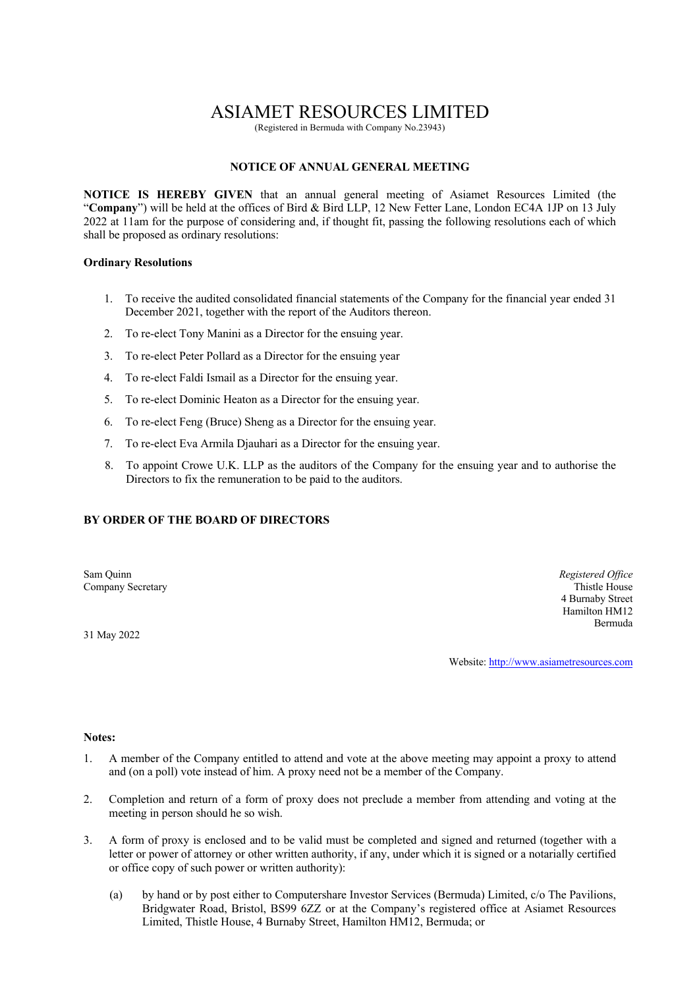# ASIAMET RESOURCES LIMITED

(Registered in Bermuda with Company No.23943)

# **NOTICE OF ANNUAL GENERAL MEETING**

**NOTICE IS HEREBY GIVEN** that an annual general meeting of Asiamet Resources Limited (the "**Company**") will be held at the offices of Bird & Bird LLP, 12 New Fetter Lane, London EC4A 1JP on 13 July 2022 at 11am for the purpose of considering and, if thought fit, passing the following resolutions each of which shall be proposed as ordinary resolutions:

#### **Ordinary Resolutions**

- 1. To receive the audited consolidated financial statements of the Company for the financial year ended 31 December 2021, together with the report of the Auditors thereon.
- 2. To re-elect Tony Manini as a Director for the ensuing year.
- 3. To re-elect Peter Pollard as a Director for the ensuing year
- 4. To re-elect Faldi Ismail as a Director for the ensuing year.
- 5. To re-elect Dominic Heaton as a Director for the ensuing year.
- 6. To re-elect Feng (Bruce) Sheng as a Director for the ensuing year.
- 7. To re-elect Eva Armila Djauhari as a Director for the ensuing year.
- 8. To appoint Crowe U.K. LLP as the auditors of the Company for the ensuing year and to authorise the Directors to fix the remuneration to be paid to the auditors.

# **BY ORDER OF THE BOARD OF DIRECTORS**

Sam Quinn *Registered Office*<br> **Sam Quinn** *Registered Office*<br> **Company Secretary Thistle House** Company Secretary

31 May 2022

4 Burnaby Street Hamilton HM12 Bermuda

Website: http://www.asiametresources.com

#### **Notes:**

- 1. A member of the Company entitled to attend and vote at the above meeting may appoint a proxy to attend and (on a poll) vote instead of him. A proxy need not be a member of the Company.
- 2. Completion and return of a form of proxy does not preclude a member from attending and voting at the meeting in person should he so wish.
- 3. A form of proxy is enclosed and to be valid must be completed and signed and returned (together with a letter or power of attorney or other written authority, if any, under which it is signed or a notarially certified or office copy of such power or written authority):
	- (a) by hand or by post either to Computershare Investor Services (Bermuda) Limited, c/o The Pavilions, Bridgwater Road, Bristol, BS99 6ZZ or at the Company's registered office at Asiamet Resources Limited, Thistle House, 4 Burnaby Street, Hamilton HM12, Bermuda; or